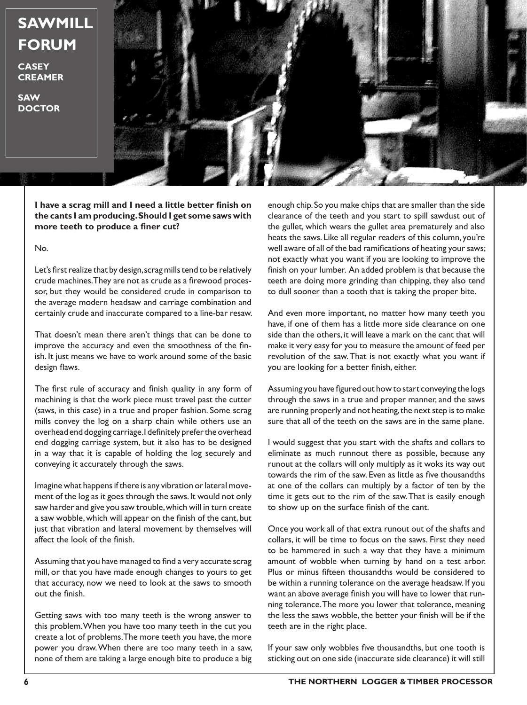## **SAWMILL FORUM**

**CASEY CREAMER**

**SAW DOCTOR**



**I have a scrag mill and I need a little better finish on the cants I am producing. Should I get some saws with more teeth to produce a finer cut?**

No.

Let's first realize that by design, scrag mills tend to be relatively crude machines. They are not as crude as a firewood processor, but they would be considered crude in comparison to the average modern headsaw and carriage combination and certainly crude and inaccurate compared to a line-bar resaw.

That doesn't mean there aren't things that can be done to improve the accuracy and even the smoothness of the finish. It just means we have to work around some of the basic design flaws.

The first rule of accuracy and finish quality in any form of machining is that the work piece must travel past the cutter (saws, in this case) in a true and proper fashion. Some scrag mills convey the log on a sharp chain while others use an overhead end dogging carriage. I definitely prefer the overhead end dogging carriage system, but it also has to be designed in a way that it is capable of holding the log securely and conveying it accurately through the saws.

Imagine what happens if there is any vibration or lateral movement of the log as it goes through the saws. It would not only saw harder and give you saw trouble, which will in turn create a saw wobble, which will appear on the finish of the cant, but just that vibration and lateral movement by themselves will affect the look of the finish.

Assuming that you have managed to find a very accurate scrag mill, or that you have made enough changes to yours to get that accuracy, now we need to look at the saws to smooth out the finish.

Getting saws with too many teeth is the wrong answer to this problem. When you have too many teeth in the cut you create a lot of problems. The more teeth you have, the more power you draw. When there are too many teeth in a saw, none of them are taking a large enough bite to produce a big

enough chip. So you make chips that are smaller than the side clearance of the teeth and you start to spill sawdust out of the gullet, which wears the gullet area prematurely and also heats the saws. Like all regular readers of this column, you're well aware of all of the bad ramifications of heating your saws; not exactly what you want if you are looking to improve the finish on your lumber. An added problem is that because the teeth are doing more grinding than chipping, they also tend to dull sooner than a tooth that is taking the proper bite.

And even more important, no matter how many teeth you have, if one of them has a little more side clearance on one side than the others, it will leave a mark on the cant that will make it very easy for you to measure the amount of feed per revolution of the saw. That is not exactly what you want if you are looking for a better finish, either.

Assuming you have figured out how to start conveying the logs through the saws in a true and proper manner, and the saws are running properly and not heating, the next step is to make sure that all of the teeth on the saws are in the same plane.

I would suggest that you start with the shafts and collars to eliminate as much runnout there as possible, because any runout at the collars will only multiply as it woks its way out towards the rim of the saw. Even as little as five thousandths at one of the collars can multiply by a factor of ten by the time it gets out to the rim of the saw. That is easily enough to show up on the surface finish of the cant.

Once you work all of that extra runout out of the shafts and collars, it will be time to focus on the saws. First they need to be hammered in such a way that they have a minimum amount of wobble when turning by hand on a test arbor. Plus or minus fifteen thousandths would be considered to be within a running tolerance on the average headsaw. If you want an above average finish you will have to lower that running tolerance. The more you lower that tolerance, meaning the less the saws wobble, the better your finish will be if the teeth are in the right place.

If your saw only wobbles five thousandths, but one tooth is sticking out on one side (inaccurate side clearance) it will still